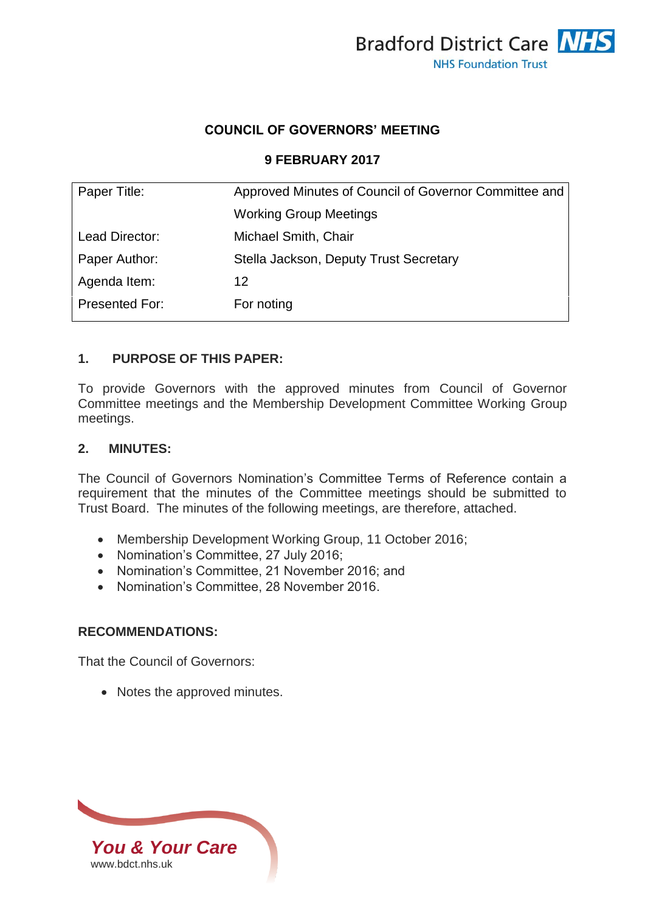

### **COUNCIL OF GOVERNORS' MEETING**

#### **9 FEBRUARY 2017**

| Paper Title:          | Approved Minutes of Council of Governor Committee and |  |
|-----------------------|-------------------------------------------------------|--|
|                       | <b>Working Group Meetings</b>                         |  |
| Lead Director:        | Michael Smith, Chair                                  |  |
| Paper Author:         | Stella Jackson, Deputy Trust Secretary                |  |
| Agenda Item:          | 12                                                    |  |
| <b>Presented For:</b> | For noting                                            |  |

#### **1. PURPOSE OF THIS PAPER:**

To provide Governors with the approved minutes from Council of Governor Committee meetings and the Membership Development Committee Working Group meetings.

#### **2. MINUTES:**

The Council of Governors Nomination's Committee Terms of Reference contain a requirement that the minutes of the Committee meetings should be submitted to Trust Board. The minutes of the following meetings, are therefore, attached.

- Membership Development Working Group, 11 October 2016;
- Nomination's Committee, 27 July 2016;
- Nomination's Committee, 21 November 2016; and
- Nomination's Committee, 28 November 2016.

#### **RECOMMENDATIONS:**

That the Council of Governors:

• Notes the approved minutes.

*You & Your Care* [www.bdct.nhs.uk](http://www.bdct.nhs.uk/)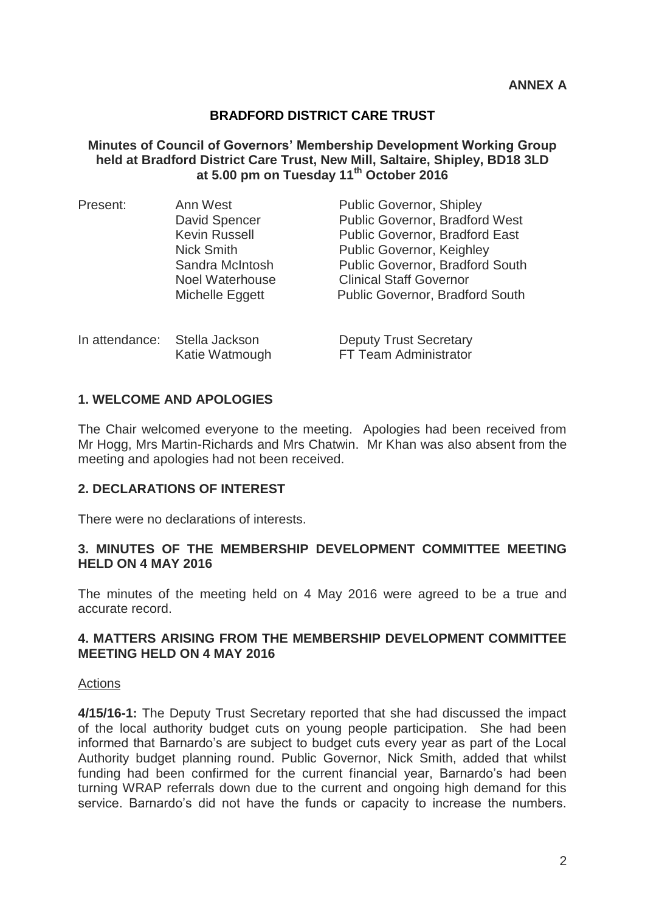#### **Minutes of Council of Governors' Membership Development Working Group held at Bradford District Care Trust, New Mill, Saltaire, Shipley, BD18 3LD at 5.00 pm on Tuesday 11th October 2016**

| Present: | Ann West                                        | <b>Public Governor, Shipley</b>                        |
|----------|-------------------------------------------------|--------------------------------------------------------|
|          | David Spencer                                   | Public Governor, Bradford West                         |
|          | <b>Kevin Russell</b>                            | <b>Public Governor, Bradford East</b>                  |
|          | <b>Nick Smith</b>                               | <b>Public Governor, Keighley</b>                       |
|          | Sandra McIntosh                                 | Public Governor, Bradford South                        |
|          | <b>Noel Waterhouse</b>                          | <b>Clinical Staff Governor</b>                         |
|          | Michelle Eggett                                 | <b>Public Governor, Bradford South</b>                 |
|          |                                                 |                                                        |
|          | In attendance: Stella Jackson<br>Katie Watmough | <b>Deputy Trust Secretary</b><br>FT Team Administrator |
|          |                                                 |                                                        |

#### **1. WELCOME AND APOLOGIES**

The Chair welcomed everyone to the meeting. Apologies had been received from Mr Hogg, Mrs Martin-Richards and Mrs Chatwin. Mr Khan was also absent from the meeting and apologies had not been received.

#### **2. DECLARATIONS OF INTEREST**

There were no declarations of interests.

#### **3. MINUTES OF THE MEMBERSHIP DEVELOPMENT COMMITTEE MEETING HELD ON 4 MAY 2016**

The minutes of the meeting held on 4 May 2016 were agreed to be a true and accurate record.

#### **4. MATTERS ARISING FROM THE MEMBERSHIP DEVELOPMENT COMMITTEE MEETING HELD ON 4 MAY 2016**

#### **Actions**

**4/15/16-1:** The Deputy Trust Secretary reported that she had discussed the impact of the local authority budget cuts on young people participation. She had been informed that Barnardo's are subject to budget cuts every year as part of the Local Authority budget planning round. Public Governor, Nick Smith, added that whilst funding had been confirmed for the current financial year, Barnardo's had been turning WRAP referrals down due to the current and ongoing high demand for this service. Barnardo's did not have the funds or capacity to increase the numbers.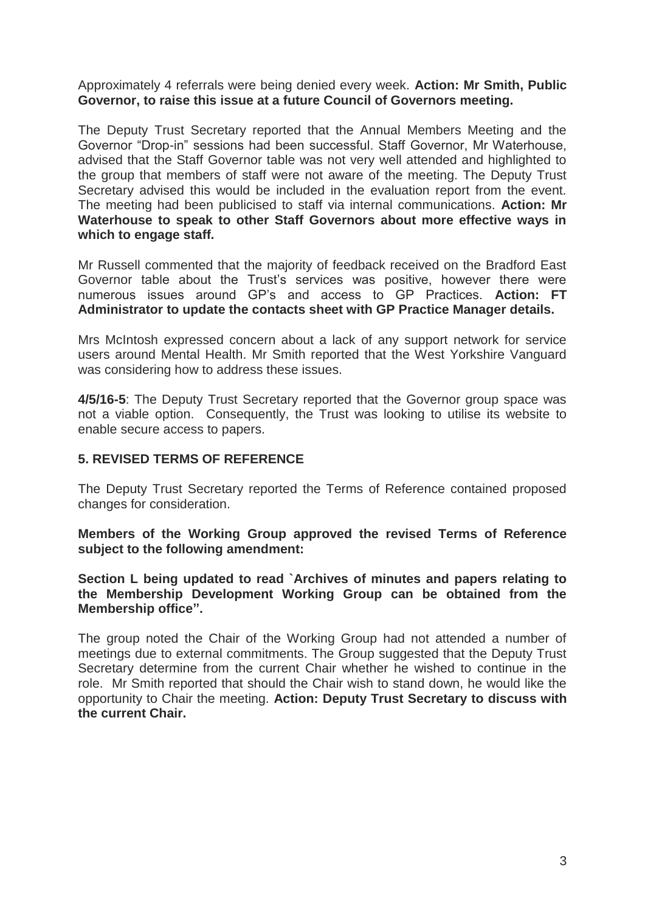Approximately 4 referrals were being denied every week. **Action: Mr Smith, Public Governor, to raise this issue at a future Council of Governors meeting.** 

The Deputy Trust Secretary reported that the Annual Members Meeting and the Governor "Drop-in" sessions had been successful. Staff Governor, Mr Waterhouse, advised that the Staff Governor table was not very well attended and highlighted to the group that members of staff were not aware of the meeting. The Deputy Trust Secretary advised this would be included in the evaluation report from the event. The meeting had been publicised to staff via internal communications. **Action: Mr Waterhouse to speak to other Staff Governors about more effective ways in which to engage staff.** 

Mr Russell commented that the majority of feedback received on the Bradford East Governor table about the Trust's services was positive, however there were numerous issues around GP's and access to GP Practices. **Action: FT Administrator to update the contacts sheet with GP Practice Manager details.** 

Mrs McIntosh expressed concern about a lack of any support network for service users around Mental Health. Mr Smith reported that the West Yorkshire Vanguard was considering how to address these issues.

**4/5/16-5**: The Deputy Trust Secretary reported that the Governor group space was not a viable option. Consequently, the Trust was looking to utilise its website to enable secure access to papers.

#### **5. REVISED TERMS OF REFERENCE**

The Deputy Trust Secretary reported the Terms of Reference contained proposed changes for consideration.

**Members of the Working Group approved the revised Terms of Reference subject to the following amendment:**

**Section L being updated to read `Archives of minutes and papers relating to the Membership Development Working Group can be obtained from the Membership office".**

The group noted the Chair of the Working Group had not attended a number of meetings due to external commitments. The Group suggested that the Deputy Trust Secretary determine from the current Chair whether he wished to continue in the role. Mr Smith reported that should the Chair wish to stand down, he would like the opportunity to Chair the meeting. **Action: Deputy Trust Secretary to discuss with the current Chair.**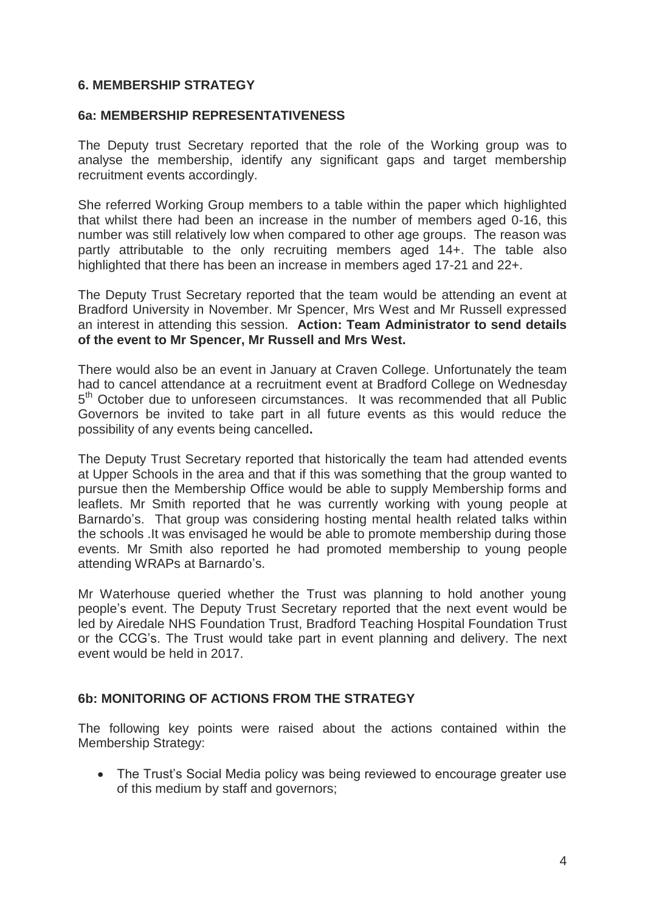#### **6. MEMBERSHIP STRATEGY**

#### **6a: MEMBERSHIP REPRESENTATIVENESS**

The Deputy trust Secretary reported that the role of the Working group was to analyse the membership, identify any significant gaps and target membership recruitment events accordingly.

She referred Working Group members to a table within the paper which highlighted that whilst there had been an increase in the number of members aged 0-16, this number was still relatively low when compared to other age groups. The reason was partly attributable to the only recruiting members aged 14+. The table also highlighted that there has been an increase in members aged 17-21 and 22+.

The Deputy Trust Secretary reported that the team would be attending an event at Bradford University in November. Mr Spencer, Mrs West and Mr Russell expressed an interest in attending this session. **Action: Team Administrator to send details of the event to Mr Spencer, Mr Russell and Mrs West.**

There would also be an event in January at Craven College. Unfortunately the team had to cancel attendance at a recruitment event at Bradford College on Wednesday 5<sup>th</sup> October due to unforeseen circumstances. It was recommended that all Public Governors be invited to take part in all future events as this would reduce the possibility of any events being cancelled**.** 

The Deputy Trust Secretary reported that historically the team had attended events at Upper Schools in the area and that if this was something that the group wanted to pursue then the Membership Office would be able to supply Membership forms and leaflets. Mr Smith reported that he was currently working with young people at Barnardo's. That group was considering hosting mental health related talks within the schools .It was envisaged he would be able to promote membership during those events. Mr Smith also reported he had promoted membership to young people attending WRAPs at Barnardo's.

Mr Waterhouse queried whether the Trust was planning to hold another young people's event. The Deputy Trust Secretary reported that the next event would be led by Airedale NHS Foundation Trust, Bradford Teaching Hospital Foundation Trust or the CCG's. The Trust would take part in event planning and delivery. The next event would be held in 2017.

#### **6b: MONITORING OF ACTIONS FROM THE STRATEGY**

The following key points were raised about the actions contained within the Membership Strategy:

 The Trust's Social Media policy was being reviewed to encourage greater use of this medium by staff and governors;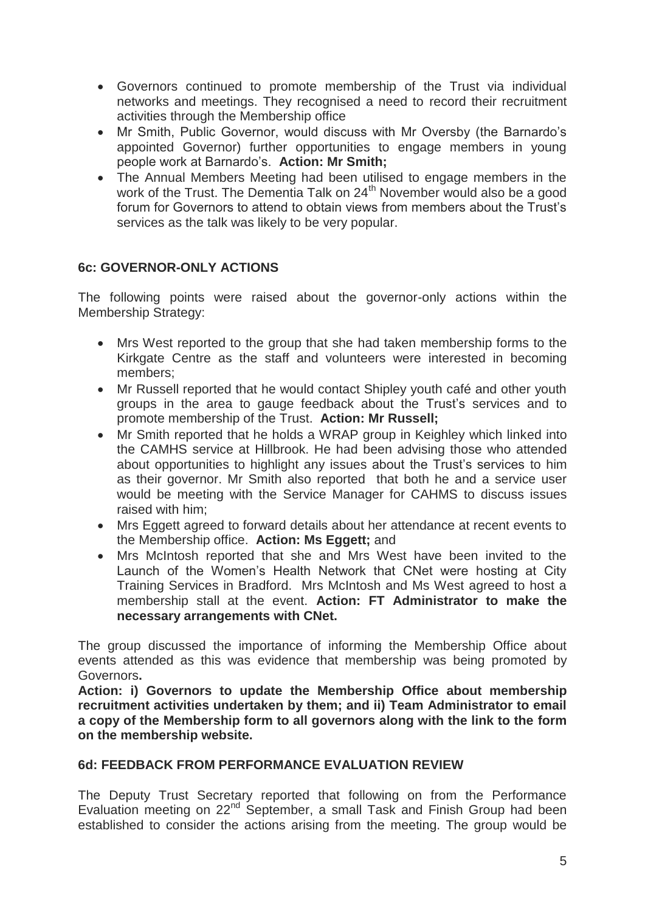- Governors continued to promote membership of the Trust via individual networks and meetings. They recognised a need to record their recruitment activities through the Membership office
- Mr Smith, Public Governor, would discuss with Mr Oversby (the Barnardo's appointed Governor) further opportunities to engage members in young people work at Barnardo's. **Action: Mr Smith;**
- The Annual Members Meeting had been utilised to engage members in the work of the Trust. The Dementia Talk on 24<sup>th</sup> November would also be a good forum for Governors to attend to obtain views from members about the Trust's services as the talk was likely to be very popular.

### **6c: GOVERNOR-ONLY ACTIONS**

The following points were raised about the governor-only actions within the Membership Strategy:

- Mrs West reported to the group that she had taken membership forms to the Kirkgate Centre as the staff and volunteers were interested in becoming members;
- Mr Russell reported that he would contact Shipley youth café and other youth groups in the area to gauge feedback about the Trust's services and to promote membership of the Trust. **Action: Mr Russell;**
- Mr Smith reported that he holds a WRAP group in Keighley which linked into the CAMHS service at Hillbrook. He had been advising those who attended about opportunities to highlight any issues about the Trust's services to him as their governor. Mr Smith also reported that both he and a service user would be meeting with the Service Manager for CAHMS to discuss issues raised with him;
- Mrs Eggett agreed to forward details about her attendance at recent events to the Membership office. **Action: Ms Eggett;** and
- Mrs McIntosh reported that she and Mrs West have been invited to the Launch of the Women's Health Network that CNet were hosting at City Training Services in Bradford. Mrs McIntosh and Ms West agreed to host a membership stall at the event. **Action: FT Administrator to make the necessary arrangements with CNet.**

The group discussed the importance of informing the Membership Office about events attended as this was evidence that membership was being promoted by Governors**.** 

**Action: i) Governors to update the Membership Office about membership recruitment activities undertaken by them; and ii) Team Administrator to email a copy of the Membership form to all governors along with the link to the form on the membership website.**

#### **6d: FEEDBACK FROM PERFORMANCE EVALUATION REVIEW**

The Deputy Trust Secretary reported that following on from the Performance Evaluation meeting on 22<sup>nd</sup> September, a small Task and Finish Group had been established to consider the actions arising from the meeting. The group would be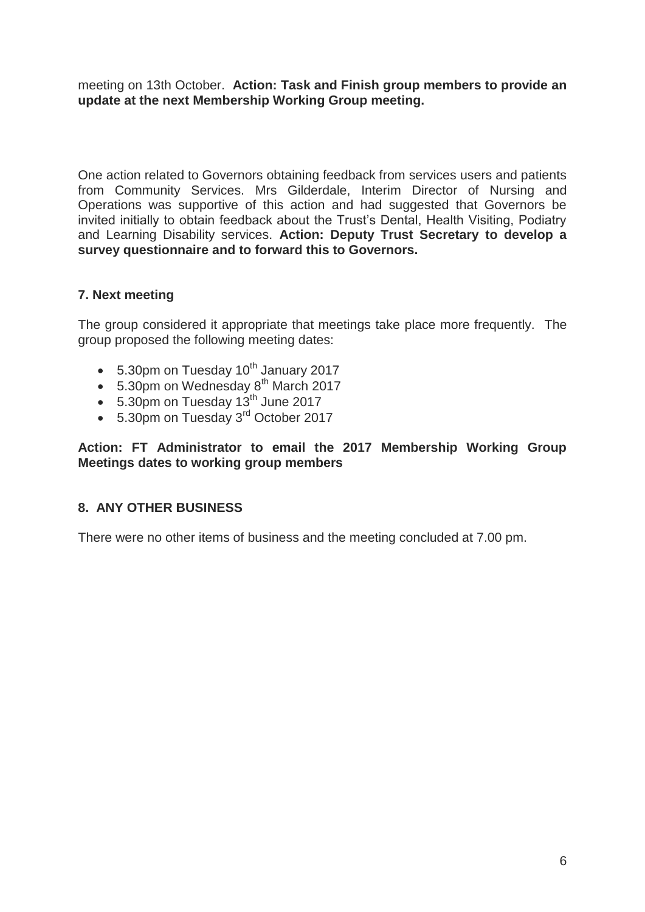meeting on 13th October. **Action: Task and Finish group members to provide an update at the next Membership Working Group meeting.**

One action related to Governors obtaining feedback from services users and patients from Community Services. Mrs Gilderdale, Interim Director of Nursing and Operations was supportive of this action and had suggested that Governors be invited initially to obtain feedback about the Trust's Dental, Health Visiting, Podiatry and Learning Disability services. **Action: Deputy Trust Secretary to develop a survey questionnaire and to forward this to Governors.**

### **7. Next meeting**

The group considered it appropriate that meetings take place more frequently. The group proposed the following meeting dates:

- $\bullet$  5.30pm on Tuesday 10<sup>th</sup> January 2017
- $\bullet$  5.30pm on Wednesday  $8<sup>th</sup>$  March 2017
- $\bullet$  5.30pm on Tuesday 13<sup>th</sup> June 2017
- 5.30pm on Tuesday 3<sup>rd</sup> October 2017

### **Action: FT Administrator to email the 2017 Membership Working Group Meetings dates to working group members**

### **8. ANY OTHER BUSINESS**

There were no other items of business and the meeting concluded at 7.00 pm.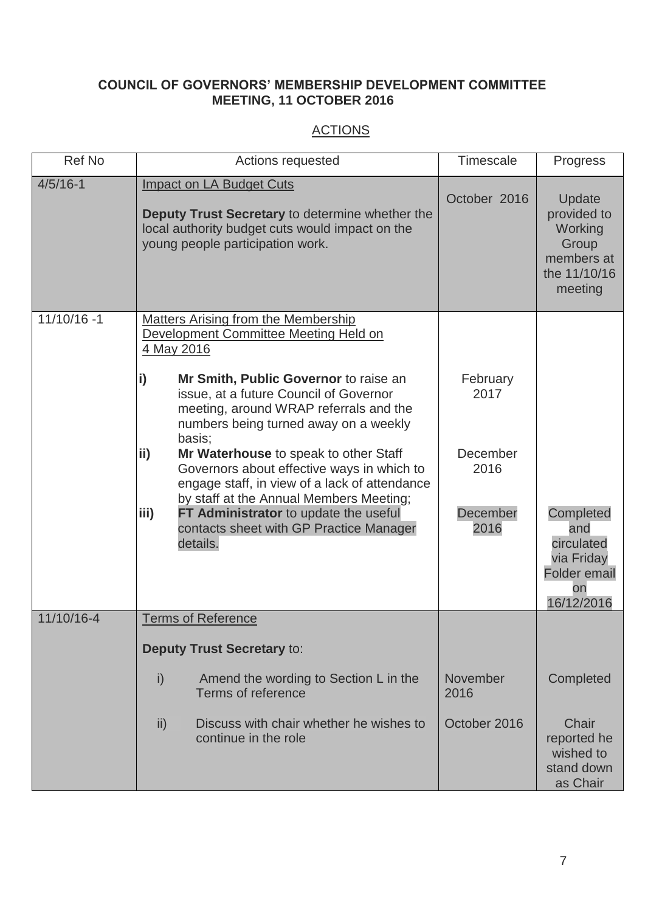### **COUNCIL OF GOVERNORS' MEMBERSHIP DEVELOPMENT COMMITTEE MEETING, 11 OCTOBER 2016**

# **ACTIONS**

| Ref No         | Actions requested                                                                                                                                                                  | <b>Timescale</b> | <b>Progress</b>                                                                         |
|----------------|------------------------------------------------------------------------------------------------------------------------------------------------------------------------------------|------------------|-----------------------------------------------------------------------------------------|
| $4/5/16 - 1$   | <b>Impact on LA Budget Cuts</b><br>Deputy Trust Secretary to determine whether the<br>local authority budget cuts would impact on the<br>young people participation work.          | October 2016     | Update<br>provided to<br>Working<br>Group<br>members at<br>the 11/10/16<br>meeting      |
| $11/10/16 - 1$ | <b>Matters Arising from the Membership</b><br>Development Committee Meeting Held on<br>4 May 2016                                                                                  |                  |                                                                                         |
|                | i)<br>Mr Smith, Public Governor to raise an<br>issue, at a future Council of Governor<br>meeting, around WRAP referrals and the<br>numbers being turned away on a weekly<br>basis; | February<br>2017 |                                                                                         |
|                | ii)<br>Mr Waterhouse to speak to other Staff<br>Governors about effective ways in which to<br>engage staff, in view of a lack of attendance                                        | December<br>2016 |                                                                                         |
|                | by staff at the Annual Members Meeting;<br>FT Administrator to update the useful<br>iii)<br>contacts sheet with GP Practice Manager<br>details.                                    | December<br>2016 | Completed<br>and<br>circulated<br>via Friday<br><b>Folder email</b><br>on<br>16/12/2016 |
| 11/10/16-4     | <b>Terms of Reference</b>                                                                                                                                                          |                  |                                                                                         |
|                | <b>Deputy Trust Secretary to:</b>                                                                                                                                                  |                  |                                                                                         |
|                | i)<br>Amend the wording to Section L in the<br>Terms of reference                                                                                                                  | November<br>2016 | Completed                                                                               |
|                | $\mathsf{ii}$<br>Discuss with chair whether he wishes to<br>continue in the role                                                                                                   | October 2016     | Chair<br>reported he<br>wished to<br>stand down<br>as Chair                             |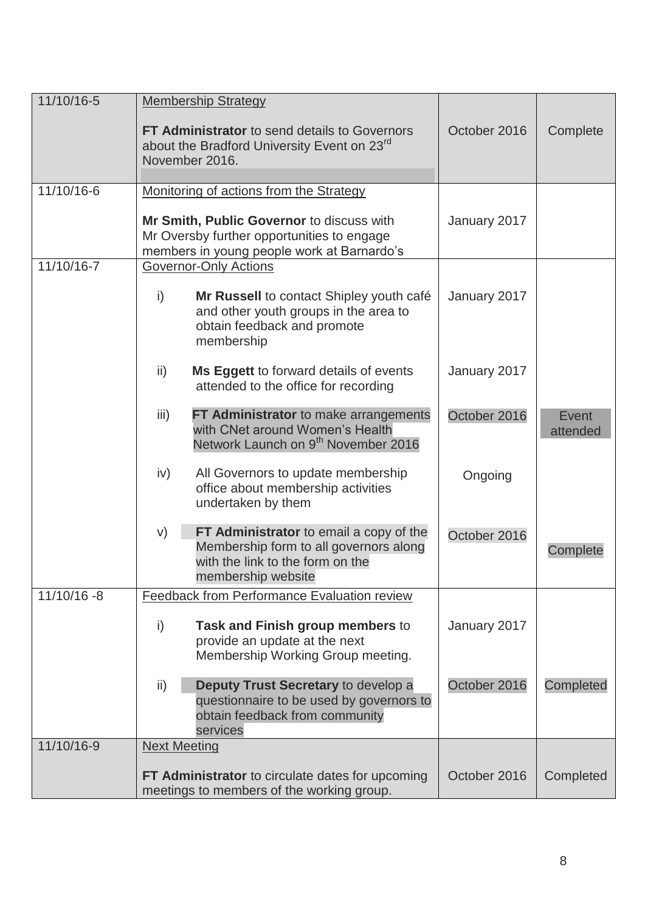| 11/10/16-5  | <b>Membership Strategy</b>                                                                                                                        |              |                   |
|-------------|---------------------------------------------------------------------------------------------------------------------------------------------------|--------------|-------------------|
|             | <b>FT Administrator</b> to send details to Governors<br>about the Bradford University Event on 23 <sup>rd</sup>                                   | October 2016 | Complete          |
|             | November 2016.                                                                                                                                    |              |                   |
| 11/10/16-6  | Monitoring of actions from the Strategy                                                                                                           |              |                   |
|             | Mr Smith, Public Governor to discuss with<br>Mr Oversby further opportunities to engage<br>members in young people work at Barnardo's             | January 2017 |                   |
| 11/10/16-7  | <b>Governor-Only Actions</b>                                                                                                                      |              |                   |
|             | i)<br>Mr Russell to contact Shipley youth café<br>and other youth groups in the area to<br>obtain feedback and promote<br>membership              | January 2017 |                   |
|             | Ms Eggett to forward details of events<br>ii)<br>attended to the office for recording                                                             | January 2017 |                   |
|             | iii)<br><b>FT Administrator</b> to make arrangements<br>with CNet around Women's Health<br>Network Launch on 9 <sup>th</sup> November 2016        | October 2016 | Event<br>attended |
|             | iv)<br>All Governors to update membership<br>office about membership activities<br>undertaken by them                                             | Ongoing      |                   |
|             | FT Administrator to email a copy of the<br>V)<br>Membership form to all governors along<br>with the link to the form on the<br>membership website | October 2016 | Complete          |
| 11/10/16 -8 | <b>Feedback from Performance Evaluation review</b>                                                                                                |              |                   |
|             | i)<br>Task and Finish group members to<br>provide an update at the next<br>Membership Working Group meeting.                                      | January 2017 |                   |
|             | Deputy Trust Secretary to develop a<br>$\mathsf{ii}$<br>questionnaire to be used by governors to<br>obtain feedback from community<br>services    | October 2016 | Completed         |
| 11/10/16-9  | <b>Next Meeting</b>                                                                                                                               |              |                   |
|             | <b>FT Administrator</b> to circulate dates for upcoming<br>meetings to members of the working group.                                              | October 2016 | Completed         |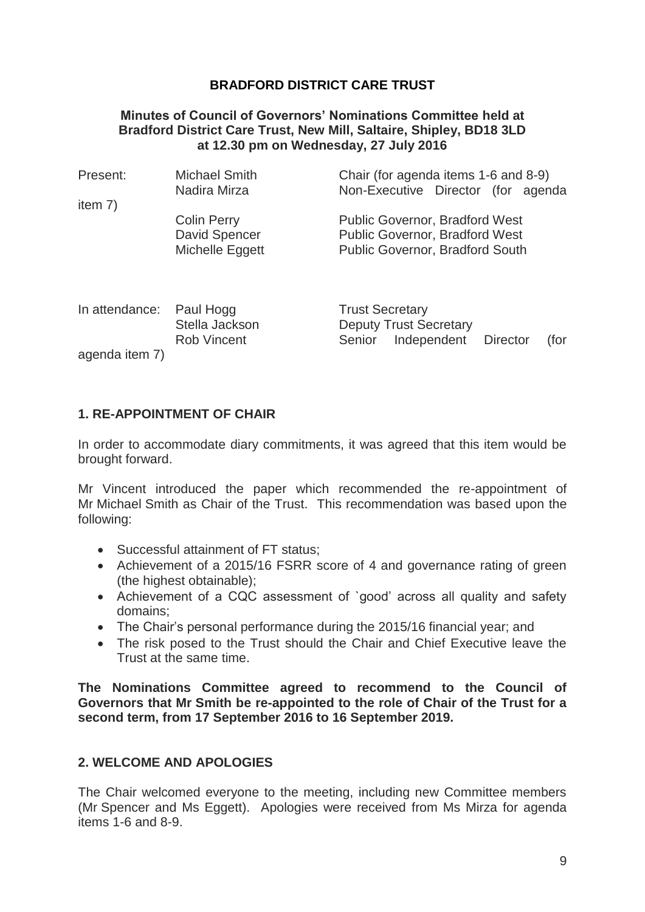#### **Minutes of Council of Governors' Nominations Committee held at Bradford District Care Trust, New Mill, Saltaire, Shipley, BD18 3LD at 12.30 pm on Wednesday, 27 July 2016**

| Present:       | Michael Smith<br>Nadira Mirza        | Chair (for agenda items 1-6 and 8-9)<br>Non-Executive Director (for agenda        |
|----------------|--------------------------------------|-----------------------------------------------------------------------------------|
| item $7)$      |                                      |                                                                                   |
|                | <b>Colin Perry</b>                   | <b>Public Governor, Bradford West</b>                                             |
|                | David Spencer                        | <b>Public Governor, Bradford West</b>                                             |
|                | Michelle Eggett                      | <b>Public Governor, Bradford South</b>                                            |
|                |                                      |                                                                                   |
| In attendance: | Paul Hogg                            | <b>Trust Secretary</b>                                                            |
|                | Stella Jackson<br><b>Rob Vincent</b> | <b>Deputy Trust Secretary</b><br>Independent<br>Senior<br><b>Director</b><br>(for |

agenda item 7)

# **1. RE-APPOINTMENT OF CHAIR**

In order to accommodate diary commitments, it was agreed that this item would be brought forward.

Mr Vincent introduced the paper which recommended the re-appointment of Mr Michael Smith as Chair of the Trust. This recommendation was based upon the following:

- Successful attainment of FT status;
- Achievement of a 2015/16 FSRR score of 4 and governance rating of green (the highest obtainable);
- Achievement of a CQC assessment of `good' across all quality and safety domains;
- The Chair's personal performance during the 2015/16 financial year; and
- The risk posed to the Trust should the Chair and Chief Executive leave the Trust at the same time.

**The Nominations Committee agreed to recommend to the Council of Governors that Mr Smith be re-appointed to the role of Chair of the Trust for a second term, from 17 September 2016 to 16 September 2019.**

### **2. WELCOME AND APOLOGIES**

The Chair welcomed everyone to the meeting, including new Committee members (Mr Spencer and Ms Eggett). Apologies were received from Ms Mirza for agenda items 1-6 and 8-9.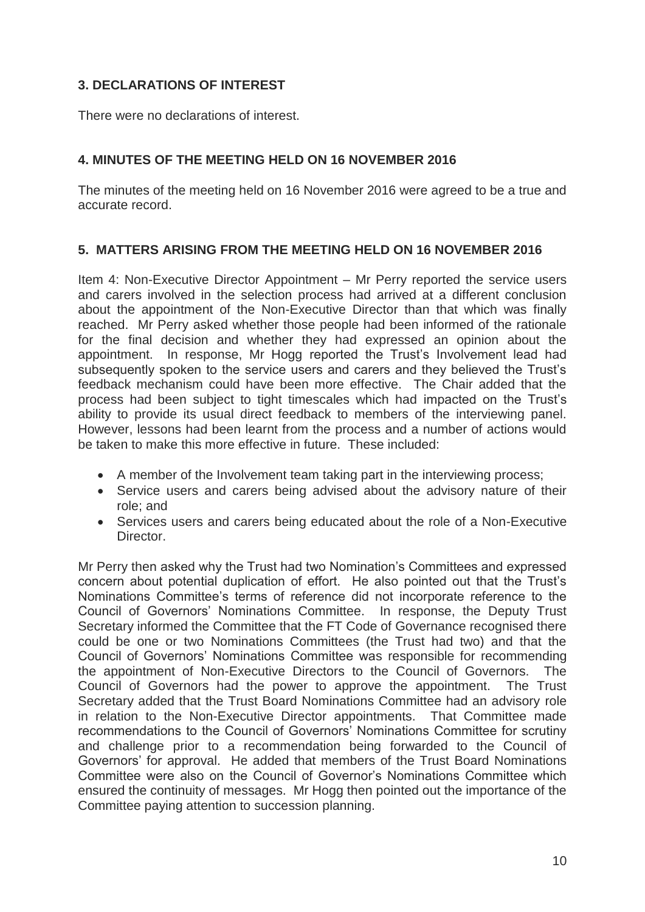### **3. DECLARATIONS OF INTEREST**

There were no declarations of interest.

### **4. MINUTES OF THE MEETING HELD ON 16 NOVEMBER 2016**

The minutes of the meeting held on 16 November 2016 were agreed to be a true and accurate record.

### **5. MATTERS ARISING FROM THE MEETING HELD ON 16 NOVEMBER 2016**

Item 4: Non-Executive Director Appointment – Mr Perry reported the service users and carers involved in the selection process had arrived at a different conclusion about the appointment of the Non-Executive Director than that which was finally reached. Mr Perry asked whether those people had been informed of the rationale for the final decision and whether they had expressed an opinion about the appointment. In response, Mr Hogg reported the Trust's Involvement lead had subsequently spoken to the service users and carers and they believed the Trust's feedback mechanism could have been more effective. The Chair added that the process had been subject to tight timescales which had impacted on the Trust's ability to provide its usual direct feedback to members of the interviewing panel. However, lessons had been learnt from the process and a number of actions would be taken to make this more effective in future. These included:

- A member of the Involvement team taking part in the interviewing process;
- Service users and carers being advised about the advisory nature of their role; and
- Services users and carers being educated about the role of a Non-Executive **Director**

Mr Perry then asked why the Trust had two Nomination's Committees and expressed concern about potential duplication of effort. He also pointed out that the Trust's Nominations Committee's terms of reference did not incorporate reference to the Council of Governors' Nominations Committee. In response, the Deputy Trust Secretary informed the Committee that the FT Code of Governance recognised there could be one or two Nominations Committees (the Trust had two) and that the Council of Governors' Nominations Committee was responsible for recommending the appointment of Non-Executive Directors to the Council of Governors. The Council of Governors had the power to approve the appointment. The Trust Secretary added that the Trust Board Nominations Committee had an advisory role in relation to the Non-Executive Director appointments. That Committee made recommendations to the Council of Governors' Nominations Committee for scrutiny and challenge prior to a recommendation being forwarded to the Council of Governors' for approval. He added that members of the Trust Board Nominations Committee were also on the Council of Governor's Nominations Committee which ensured the continuity of messages. Mr Hogg then pointed out the importance of the Committee paying attention to succession planning.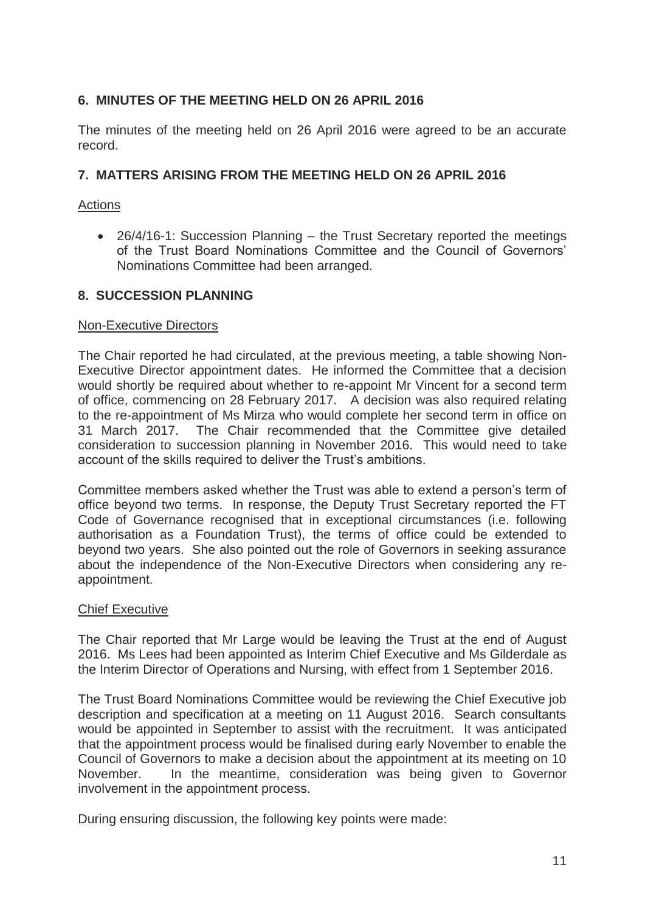### **6. MINUTES OF THE MEETING HELD ON 26 APRIL 2016**

The minutes of the meeting held on 26 April 2016 were agreed to be an accurate record.

### **7. MATTERS ARISING FROM THE MEETING HELD ON 26 APRIL 2016**

#### Actions

• 26/4/16-1: Succession Planning – the Trust Secretary reported the meetings of the Trust Board Nominations Committee and the Council of Governors' Nominations Committee had been arranged.

#### **8. SUCCESSION PLANNING**

#### Non-Executive Directors

The Chair reported he had circulated, at the previous meeting, a table showing Non-Executive Director appointment dates. He informed the Committee that a decision would shortly be required about whether to re-appoint Mr Vincent for a second term of office, commencing on 28 February 2017. A decision was also required relating to the re-appointment of Ms Mirza who would complete her second term in office on 31 March 2017. The Chair recommended that the Committee give detailed consideration to succession planning in November 2016. This would need to take account of the skills required to deliver the Trust's ambitions.

Committee members asked whether the Trust was able to extend a person's term of office beyond two terms. In response, the Deputy Trust Secretary reported the FT Code of Governance recognised that in exceptional circumstances (i.e. following authorisation as a Foundation Trust), the terms of office could be extended to beyond two years. She also pointed out the role of Governors in seeking assurance about the independence of the Non-Executive Directors when considering any reappointment.

#### Chief Executive

The Chair reported that Mr Large would be leaving the Trust at the end of August 2016. Ms Lees had been appointed as Interim Chief Executive and Ms Gilderdale as the Interim Director of Operations and Nursing, with effect from 1 September 2016.

The Trust Board Nominations Committee would be reviewing the Chief Executive job description and specification at a meeting on 11 August 2016. Search consultants would be appointed in September to assist with the recruitment. It was anticipated that the appointment process would be finalised during early November to enable the Council of Governors to make a decision about the appointment at its meeting on 10 November. In the meantime, consideration was being given to Governor involvement in the appointment process.

During ensuring discussion, the following key points were made: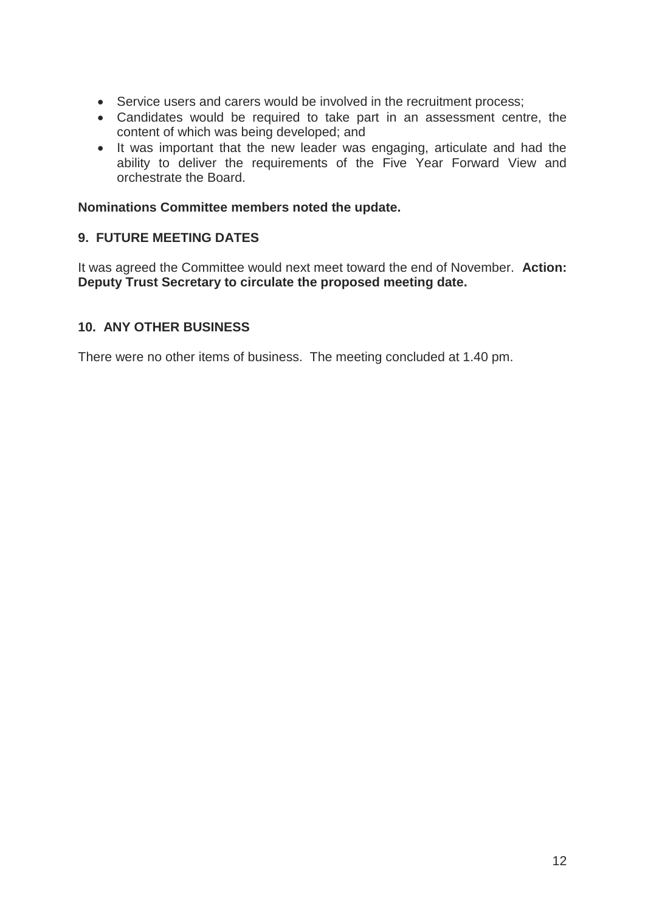- Service users and carers would be involved in the recruitment process;
- Candidates would be required to take part in an assessment centre, the content of which was being developed; and
- It was important that the new leader was engaging, articulate and had the ability to deliver the requirements of the Five Year Forward View and orchestrate the Board.

#### **Nominations Committee members noted the update.**

### **9. FUTURE MEETING DATES**

It was agreed the Committee would next meet toward the end of November. **Action: Deputy Trust Secretary to circulate the proposed meeting date.**

### **10. ANY OTHER BUSINESS**

There were no other items of business. The meeting concluded at 1.40 pm.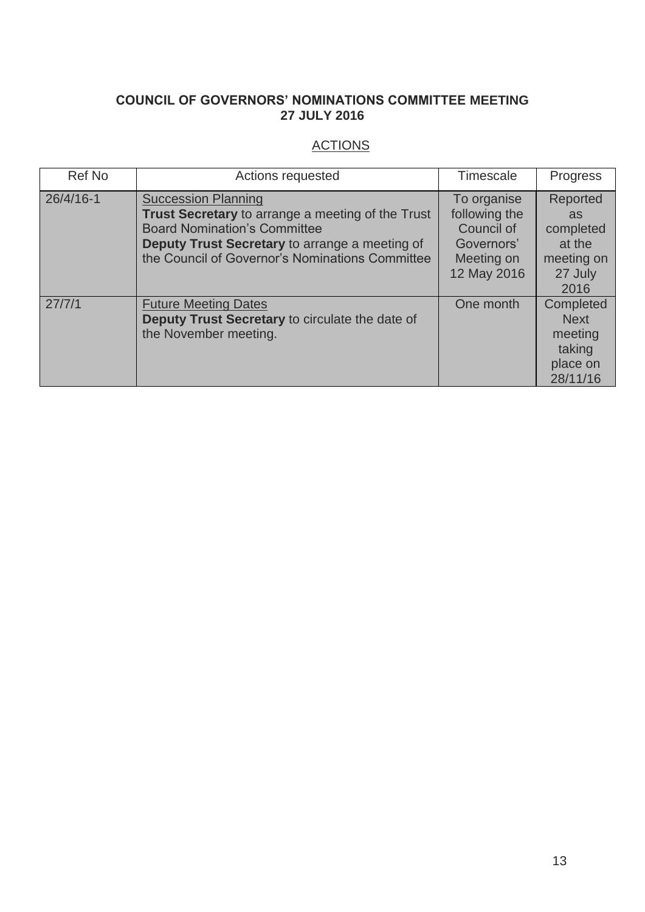# **COUNCIL OF GOVERNORS' NOMINATIONS COMMITTEE MEETING 27 JULY 2016**

# **ACTIONS**

| Ref No        | Actions requested                                                                                                                                                                                                                  | Timescale                                                                             | Progress                                                               |
|---------------|------------------------------------------------------------------------------------------------------------------------------------------------------------------------------------------------------------------------------------|---------------------------------------------------------------------------------------|------------------------------------------------------------------------|
| $26/4/16 - 1$ | <b>Succession Planning</b><br><b>Trust Secretary</b> to arrange a meeting of the Trust<br><b>Board Nomination's Committee</b><br>Deputy Trust Secretary to arrange a meeting of<br>the Council of Governor's Nominations Committee | To organise<br>following the<br>Council of<br>Governors'<br>Meeting on<br>12 May 2016 | Reported<br>as<br>completed<br>at the<br>meeting on<br>27 July<br>2016 |
| 27/7/1        | <b>Future Meeting Dates</b><br>Deputy Trust Secretary to circulate the date of<br>the November meeting.                                                                                                                            | One month                                                                             | Completed<br><b>Next</b><br>meeting<br>taking<br>place on<br>28/11/16  |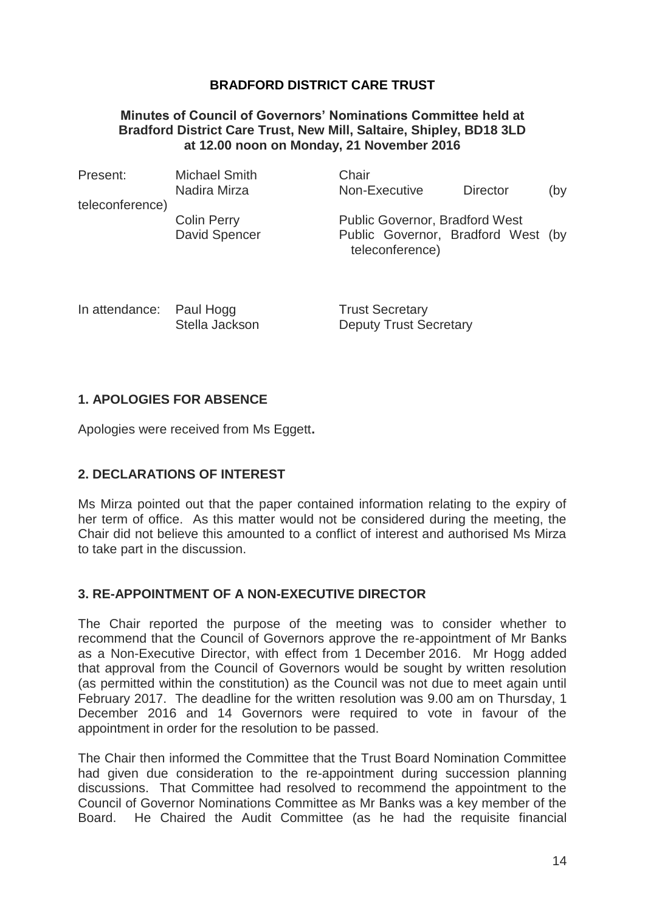#### **Minutes of Council of Governors' Nominations Committee held at Bradford District Care Trust, New Mill, Saltaire, Shipley, BD18 3LD at 12.00 noon on Monday, 21 November 2016**

| <b>Michael Smith</b><br>Nadira Mirza       | Chair<br>Non-Executive | <b>Director</b> | (by                                                                         |
|--------------------------------------------|------------------------|-----------------|-----------------------------------------------------------------------------|
|                                            |                        |                 |                                                                             |
| <b>Colin Perry</b><br><b>David Spencer</b> | teleconference)        |                 |                                                                             |
|                                            |                        |                 | <b>Public Governor, Bradford West</b><br>Public Governor, Bradford West (by |

In attendance: Paul Hogg Trust Secretary Stella Jackson Deputy Trust Secretary

### **1. APOLOGIES FOR ABSENCE**

Apologies were received from Ms Eggett**.**

### **2. DECLARATIONS OF INTEREST**

Ms Mirza pointed out that the paper contained information relating to the expiry of her term of office. As this matter would not be considered during the meeting, the Chair did not believe this amounted to a conflict of interest and authorised Ms Mirza to take part in the discussion.

### **3. RE-APPOINTMENT OF A NON-EXECUTIVE DIRECTOR**

The Chair reported the purpose of the meeting was to consider whether to recommend that the Council of Governors approve the re-appointment of Mr Banks as a Non-Executive Director, with effect from 1 December 2016. Mr Hogg added that approval from the Council of Governors would be sought by written resolution (as permitted within the constitution) as the Council was not due to meet again until February 2017. The deadline for the written resolution was 9.00 am on Thursday, 1 December 2016 and 14 Governors were required to vote in favour of the appointment in order for the resolution to be passed.

The Chair then informed the Committee that the Trust Board Nomination Committee had given due consideration to the re-appointment during succession planning discussions. That Committee had resolved to recommend the appointment to the Council of Governor Nominations Committee as Mr Banks was a key member of the Board. He Chaired the Audit Committee (as he had the requisite financial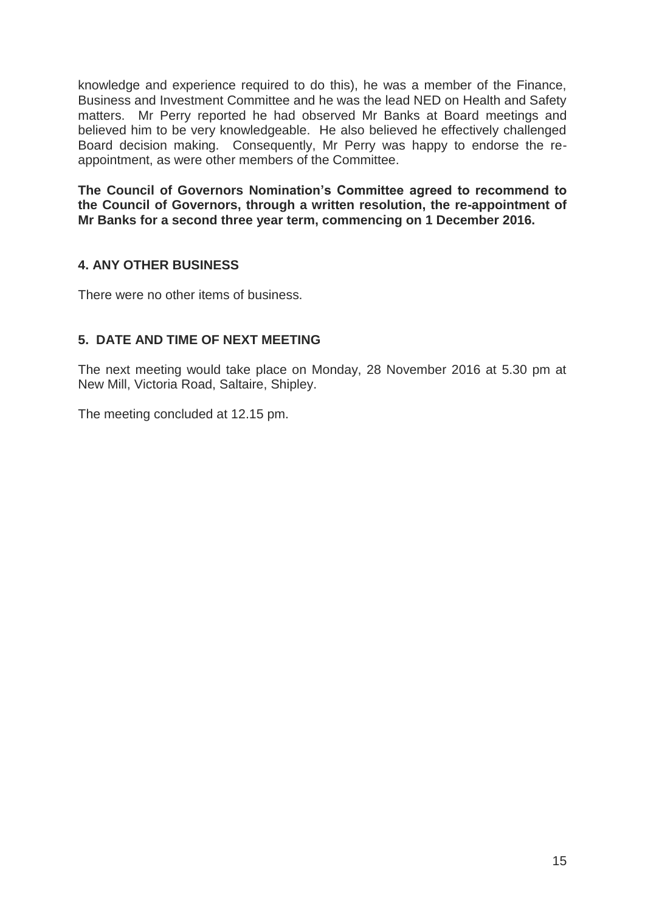knowledge and experience required to do this), he was a member of the Finance, Business and Investment Committee and he was the lead NED on Health and Safety matters. Mr Perry reported he had observed Mr Banks at Board meetings and believed him to be very knowledgeable. He also believed he effectively challenged Board decision making. Consequently, Mr Perry was happy to endorse the reappointment, as were other members of the Committee.

**The Council of Governors Nomination's Committee agreed to recommend to the Council of Governors, through a written resolution, the re-appointment of Mr Banks for a second three year term, commencing on 1 December 2016.**

### **4. ANY OTHER BUSINESS**

There were no other items of business.

### **5. DATE AND TIME OF NEXT MEETING**

The next meeting would take place on Monday, 28 November 2016 at 5.30 pm at New Mill, Victoria Road, Saltaire, Shipley.

The meeting concluded at 12.15 pm.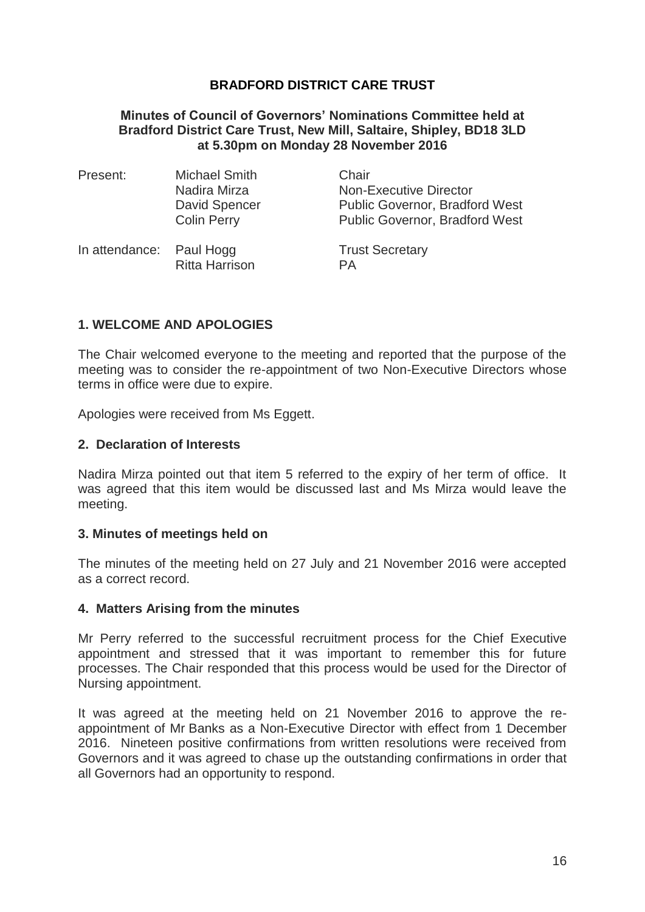#### **Minutes of Council of Governors' Nominations Committee held at Bradford District Care Trust, New Mill, Saltaire, Shipley, BD18 3LD at 5.30pm on Monday 28 November 2016**

| Present:                 | <b>Michael Smith</b><br>Nadira Mirza<br>David Spencer<br><b>Colin Perry</b> | Chair<br><b>Non-Executive Director</b><br><b>Public Governor, Bradford West</b><br><b>Public Governor, Bradford West</b> |
|--------------------------|-----------------------------------------------------------------------------|--------------------------------------------------------------------------------------------------------------------------|
| In attendance: Paul Hogg | <b>Ritta Harrison</b>                                                       | <b>Trust Secretary</b><br>PА                                                                                             |

#### **1. WELCOME AND APOLOGIES**

The Chair welcomed everyone to the meeting and reported that the purpose of the meeting was to consider the re-appointment of two Non-Executive Directors whose terms in office were due to expire.

Apologies were received from Ms Eggett.

#### **2. Declaration of Interests**

Nadira Mirza pointed out that item 5 referred to the expiry of her term of office. It was agreed that this item would be discussed last and Ms Mirza would leave the meeting.

#### **3. Minutes of meetings held on**

The minutes of the meeting held on 27 July and 21 November 2016 were accepted as a correct record.

#### **4. Matters Arising from the minutes**

Mr Perry referred to the successful recruitment process for the Chief Executive appointment and stressed that it was important to remember this for future processes. The Chair responded that this process would be used for the Director of Nursing appointment.

It was agreed at the meeting held on 21 November 2016 to approve the reappointment of Mr Banks as a Non-Executive Director with effect from 1 December 2016. Nineteen positive confirmations from written resolutions were received from Governors and it was agreed to chase up the outstanding confirmations in order that all Governors had an opportunity to respond.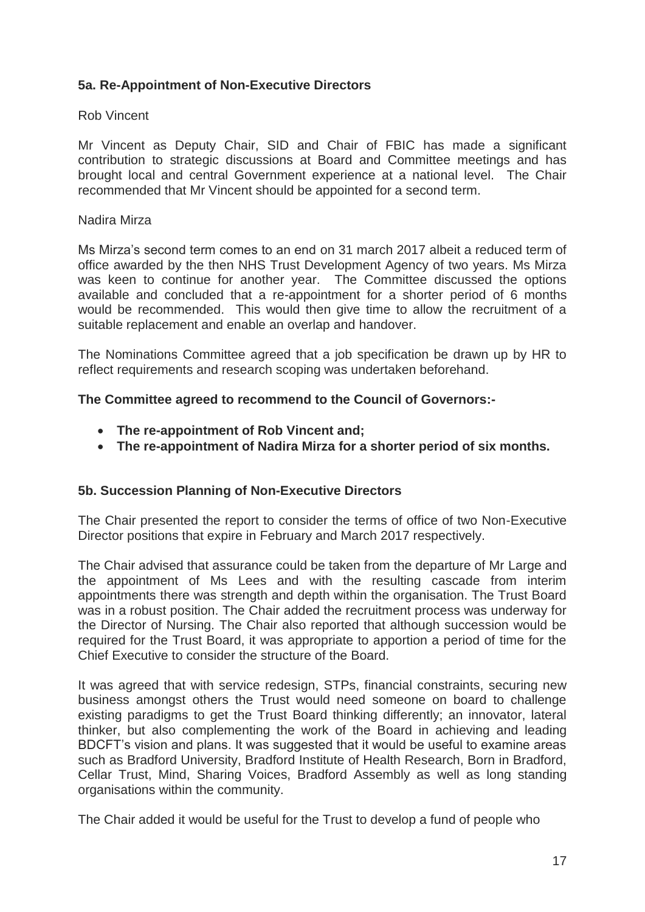### **5a. Re-Appointment of Non-Executive Directors**

#### Rob Vincent

Mr Vincent as Deputy Chair, SID and Chair of FBIC has made a significant contribution to strategic discussions at Board and Committee meetings and has brought local and central Government experience at a national level. The Chair recommended that Mr Vincent should be appointed for a second term.

#### Nadira Mirza

Ms Mirza's second term comes to an end on 31 march 2017 albeit a reduced term of office awarded by the then NHS Trust Development Agency of two years. Ms Mirza was keen to continue for another year. The Committee discussed the options available and concluded that a re-appointment for a shorter period of 6 months would be recommended. This would then give time to allow the recruitment of a suitable replacement and enable an overlap and handover.

The Nominations Committee agreed that a job specification be drawn up by HR to reflect requirements and research scoping was undertaken beforehand.

#### **The Committee agreed to recommend to the Council of Governors:-**

- **The re-appointment of Rob Vincent and;**
- **The re-appointment of Nadira Mirza for a shorter period of six months.**

#### **5b. Succession Planning of Non-Executive Directors**

The Chair presented the report to consider the terms of office of two Non-Executive Director positions that expire in February and March 2017 respectively.

The Chair advised that assurance could be taken from the departure of Mr Large and the appointment of Ms Lees and with the resulting cascade from interim appointments there was strength and depth within the organisation. The Trust Board was in a robust position. The Chair added the recruitment process was underway for the Director of Nursing. The Chair also reported that although succession would be required for the Trust Board, it was appropriate to apportion a period of time for the Chief Executive to consider the structure of the Board.

It was agreed that with service redesign, STPs, financial constraints, securing new business amongst others the Trust would need someone on board to challenge existing paradigms to get the Trust Board thinking differently; an innovator, lateral thinker, but also complementing the work of the Board in achieving and leading BDCFT's vision and plans. It was suggested that it would be useful to examine areas such as Bradford University, Bradford Institute of Health Research, Born in Bradford, Cellar Trust, Mind, Sharing Voices, Bradford Assembly as well as long standing organisations within the community.

The Chair added it would be useful for the Trust to develop a fund of people who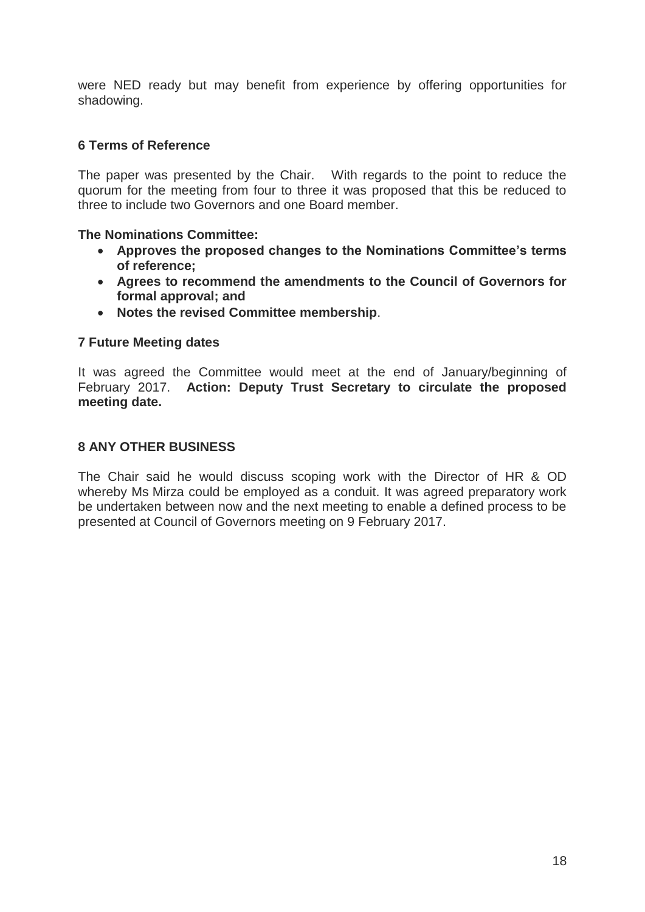were NED ready but may benefit from experience by offering opportunities for shadowing.

### **6 Terms of Reference**

The paper was presented by the Chair. With regards to the point to reduce the quorum for the meeting from four to three it was proposed that this be reduced to three to include two Governors and one Board member.

#### **The Nominations Committee:**

- **Approves the proposed changes to the Nominations Committee's terms of reference;**
- **Agrees to recommend the amendments to the Council of Governors for formal approval; and**
- **Notes the revised Committee membership**.

#### **7 Future Meeting dates**

It was agreed the Committee would meet at the end of January/beginning of February 2017. **Action: Deputy Trust Secretary to circulate the proposed meeting date.**

#### **8 ANY OTHER BUSINESS**

The Chair said he would discuss scoping work with the Director of HR & OD whereby Ms Mirza could be employed as a conduit. It was agreed preparatory work be undertaken between now and the next meeting to enable a defined process to be presented at Council of Governors meeting on 9 February 2017.